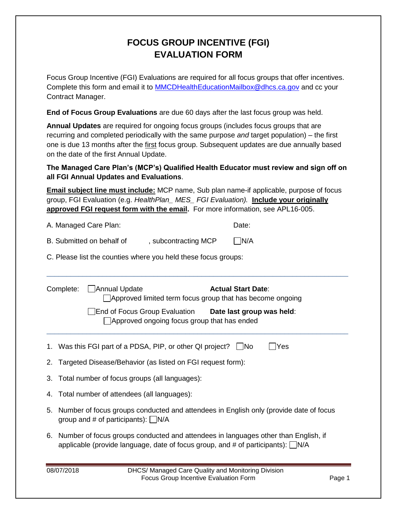## **FOCUS GROUP INCENTIVE (FGI) EVALUATION FORM**

Focus Group Incentive (FGI) Evaluations are required for all focus groups that offer incentives. Complete this form and email it to [MMCDHealthEducationMailbox@dhcs.ca.gov](mailto:MMCDHealthEducationMailbox@dhcs.ca.gov) and cc your Contract Manager.

**End of Focus Group Evaluations** are due 60 days after the last focus group was held.

**Annual Updates** are required for ongoing focus groups (includes focus groups that are recurring and completed periodically with the same purpose *and* target population) – the first one is due 13 months after the first focus group. Subsequent updates are due annually based on the date of the first Annual Update.

**The Managed Care Plan's (MCP's) Qualified Health Educator must review and sign off on all FGI Annual Updates and Evaluations**.

**Email subject line must include:** MCP name, Sub plan name-if applicable, purpose of focus group, FGI Evaluation (e.g. *HealthPlan\_ MES\_ FGI Evaluation).* **Include your originally approved FGI request form with the email.** For more information, see APL16-005.

\_\_\_\_\_\_\_\_\_\_\_\_\_\_\_\_\_\_\_\_\_\_\_\_\_\_\_\_\_\_\_\_\_\_\_\_\_\_\_\_\_\_\_\_\_\_\_\_\_\_\_\_\_\_\_\_\_\_\_\_\_\_\_\_\_\_\_\_\_\_\_\_\_\_\_\_

| A. Managed Care Plan: | Date: |
|-----------------------|-------|
|                       |       |

| B. Submitted on behalf of | , subcontracting MCP | $\Box$ N/A |
|---------------------------|----------------------|------------|
|---------------------------|----------------------|------------|

C. Please list the counties where you held these focus groups:

|    | Complete:                                                                                                                                                                      | □ Annual Update<br>Approved limited term focus group that has become ongoing                                   | <b>Actual Start Date:</b> |  |  |  |
|----|--------------------------------------------------------------------------------------------------------------------------------------------------------------------------------|----------------------------------------------------------------------------------------------------------------|---------------------------|--|--|--|
|    |                                                                                                                                                                                | End of Focus Group Evaluation <b>Date last group was held</b> :<br>Approved ongoing focus group that has ended |                           |  |  |  |
|    |                                                                                                                                                                                | 1. Was this FGI part of a PDSA, PIP, or other QI project? $\Box$ No                                            | Yes                       |  |  |  |
|    | 2. Targeted Disease/Behavior (as listed on FGI request form):                                                                                                                  |                                                                                                                |                           |  |  |  |
| 3. | Total number of focus groups (all languages):                                                                                                                                  |                                                                                                                |                           |  |  |  |
|    | 4. Total number of attendees (all languages):                                                                                                                                  |                                                                                                                |                           |  |  |  |
|    | 5. Number of focus groups conducted and attendees in English only (provide date of focus<br>group and # of participants): $\Box$ N/A                                           |                                                                                                                |                           |  |  |  |
|    | 6. Number of focus groups conducted and attendees in languages other than English, if<br>applicable (provide language, date of focus group, and # of participants): $\Box$ N/A |                                                                                                                |                           |  |  |  |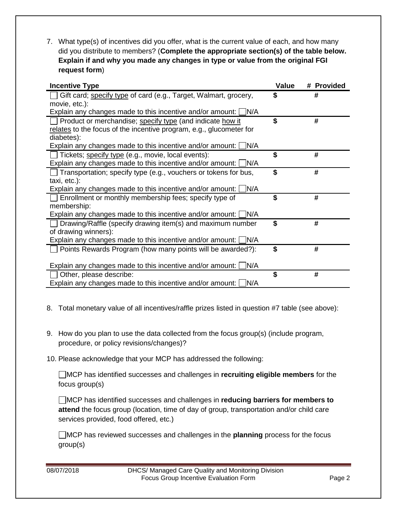7. What type(s) of incentives did you offer, what is the current value of each, and how many did you distribute to members? (**Complete the appropriate section(s) of the table below. Explain if and why you made any changes in type or value from the original FGI request form**)

| <b>Incentive Type</b>                                                  | Value | # Provided |
|------------------------------------------------------------------------|-------|------------|
| Gift card; specify type of card (e.g., Target, Walmart, grocery,       | \$    | #          |
| movie, etc.):                                                          |       |            |
| Explain any changes made to this incentive and/or amount: $\Box$ N/A   |       |            |
| Product or merchandise; specify type (and indicate how it              | \$    | #          |
| relates to the focus of the incentive program, e.g., glucometer for    |       |            |
| diabetes):                                                             |       |            |
| Explain any changes made to this incentive and/or amount: $\Box$ N/A   |       |            |
| Tickets; specify type (e.g., movie, local events):                     | \$    | #          |
| Explain any changes made to this incentive and/or amount: $\Box$ N/A   |       |            |
| $\Box$ Transportation; specify type (e.g., vouchers or tokens for bus, | \$    | #          |
| taxi, etc.):                                                           |       |            |
| Explain any changes made to this incentive and/or amount: $\Box$ N/A   |       |            |
| Enrollment or monthly membership fees; specify type of                 | \$    | #          |
| membership:                                                            |       |            |
| Explain any changes made to this incentive and/or amount: $\Box$ N/A   |       |            |
| □ Drawing/Raffle (specify drawing item(s) and maximum number           | \$    | #          |
| of drawing winners):                                                   |       |            |
| Explain any changes made to this incentive and/or amount: $\Box$ N/A   |       |            |
| Points Rewards Program (how many points will be awarded?):             | \$    | #          |
|                                                                        |       |            |
| Explain any changes made to this incentive and/or amount: $\Box$ N/A   |       |            |
| Other, please describe:                                                | \$    | #          |
| Explain any changes made to this incentive and/or amount: $\Box$ N/A   |       |            |

- 8. Total monetary value of all incentives/raffle prizes listed in question #7 table (see above):
- 9. How do you plan to use the data collected from the focus group(s) (include program, procedure, or policy revisions/changes)?
- 10. Please acknowledge that your MCP has addressed the following:

MCP has identified successes and challenges in **recruiting eligible members** for the focus group(s)

MCP has identified successes and challenges in **reducing barriers for members to attend** the focus group (location, time of day of group, transportation and/or child care services provided, food offered, etc.)

MCP has reviewed successes and challenges in the **planning** process for the focus group(s)